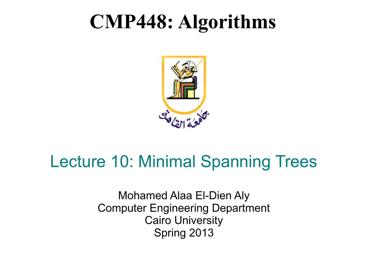#### **CMP448: Algorithms**



#### Lecture 10: Minimal Spanning Trees

Mohamed Alaa El-Dien Aly Computer Engineering Department Cairo University Spring 2013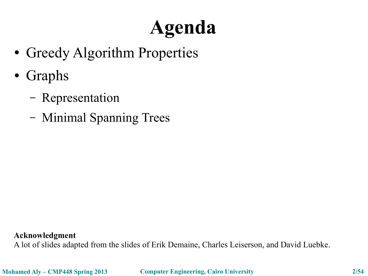# **Agenda**

- Greedy Algorithm Properties
- Graphs
	- Representation
	- Minimal Spanning Trees

**Acknowledgment**

A lot of slides adapted from the slides of Erik Demaine, Charles Leiserson, and David Luebke.

**Mohamed Aly – CMP448 Spring 2013 Computer Engineering, Cairo University 2/54**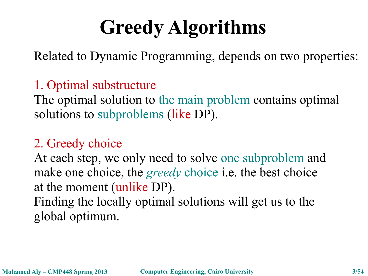# **Greedy Algorithms**

Related to Dynamic Programming, depends on two properties:

#### 1. Optimal substructure

The optimal solution to the main problem contains optimal solutions to subproblems (like DP).

#### 2. Greedy choice

At each step, we only need to solve one subproblem and make one choice, the *greedy* choice i.e. the best choice at the moment (unlike DP). Finding the locally optimal solutions will get us to the global optimum.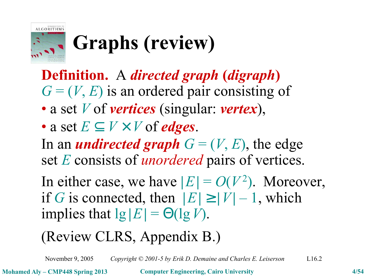

# **Graphs (review)**

**Definition.** A *directed graph* **(***digraph***)**  $G = (V, E)$  is an ordered pair consisting of

- a set *V* of *vertices* (singular: *vertex*),
- a set  $E \subset V \times V$  of *edges*.

In an *undirected graph*  $G = (V, E)$ , the edge set *E* consists of *unordered* pairs of vertices.

In either case, we have  $|E| = O(V^2)$ . Moreover, if *G* is connected, then  $|E| \ge |V| - 1$ , which implies that  $\lg |E| = \Theta(\lg V)$ .

(Review CLRS, Appendix B.)

November 9, 2005 *Copyright © 2001-5 by Erik D. Demaine and Charles E. Leiserson* L16.2

**Mohamed Aly – CMP448 Spring 2013 Computer Engineering, Cairo University 4/54**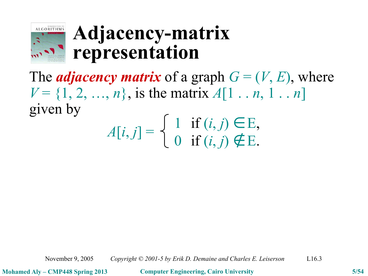

#### **Adjacency-matrix representation**

The *adjacency matrix* of a graph  $G = (V, E)$ , where  $V = \{1, 2, ..., n\}$ , is the matrix  $A[1, ..., n, 1, ..., n]$ given by 1 if  $(i, j) \in E$ ,

$$
A[i,j] = \begin{cases} 1 & \text{if } (i,j) \in E, \\ 0 & \text{if } (i,j) \notin E. \end{cases}
$$

November 9, 2005 *Copyright © 2001-5 by Erik D. Demaine and Charles E. Leiserson* L16.3

**Mohamed Aly – CMP448 Spring 2013 Computer Engineering, Cairo University 5/54**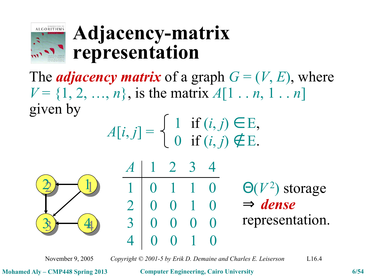

#### **Adjacency-matrix representation**

The *adjacency matrix* of a graph  $G = (V, E)$ , where  $V = \{1, 2, ..., n\}$ , is the matrix  $A[1, n, 1, ..., n]$ given by 1 if (*i*, *j*) ∈ E,

$$
A[i,j] = \begin{cases} 1 & \text{if } (i,j) \in E, \\ 0 & \text{if } (i,j) \notin E. \end{cases}
$$



*A* | 1 2 3 4 1 0 1 1 0  $2<sup>1</sup>$ 3 4 0 0 1 0 0 0 0 0 0 0 1 0 Θ(*V* 2 ) storage ⇒ *dense* representation.

November 9, 2005 *Copyright © 2001-5 by Erik D. Demaine and Charles E. Leiserson* L16.4

**Mohamed Aly – CMP448 Spring 2013 Computer Engineering, Cairo University 6/54**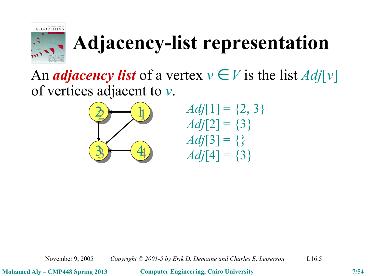

# **Adjacency-list representation**

An *adjacency* list of a vertex  $v \in V$  is the list  $Adj[v]$ of vertices adjacent to *v*.



$$
Adj[1] = \{2, 3\}
$$
  
Adj[2] = \{3\}  
Adj[3] = \{\}  
Adj[4] = \{3\}

November 9, 2005 *Copyright © 2001-5 by Erik D. Demaine and Charles E. Leiserson* L16.5

**Mohamed Aly – CMP448 Spring 2013 Computer Engineering, Cairo University 7/54**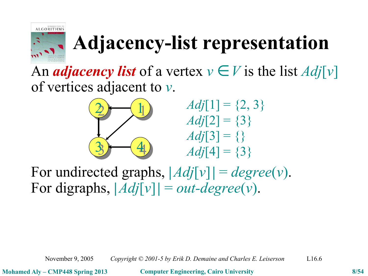

## **Adjacency-list representation**

An *adjacency* list of a vertex  $v \in V$  is the list  $Adj[v]$ of vertices adjacent to *v*.



 $Adj[1] = \{2, 3\}$  $Adj[2] = \{3\}$  $Adj[3] = \{\}$ *Adj*[4] = {3}

For undirected graphs,  $|Adj[v]| = degree(v)$ . For digraphs,  $|Adj[v]| = out-degree(v)$ .

November 9, 2005 *Copyright © 2001-5 by Erik D. Demaine and Charles E. Leiserson* L16.6

**Mohamed Aly – CMP448 Spring 2013 Computer Engineering, Cairo University 8/54**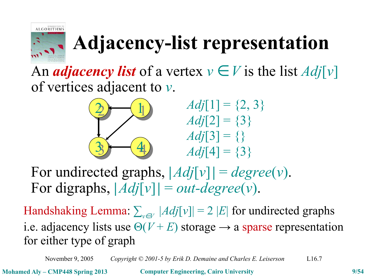

# **Adjacency-list representation**

An *adjacency* list of a vertex  $v \in V$  is the list  $Adj[v]$ of vertices adjacent to *v*.



 $Adj[1] = \{2, 3\}$  $Adj[2] = \{3\}$  $Adj[3] = \{\}$ *Adj*[4] = {3}

For undirected graphs,  $|Adj[v]| = degree(v)$ . For digraphs,  $|Adj[v]| = out-degree(v)$ .

 $\text{Handshaking Lemma: } \sum_{v \in V} |Adj[v]| = 2 |E| \text{ for undirected graphs}$ i.e. adjacency lists use  $\Theta(V + E)$  storage  $\rightarrow$  a sparse representation for either type of graph

November 9, 2005 *Copyright © 2001-5 by Erik D. Demaine and Charles E. Leiserson* L16.7

**Mohamed Aly – CMP448 Spring 2013 Computer Engineering, Cairo University 9/54**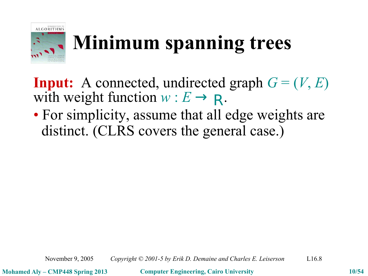

# **Minimum spanning trees**

**Input:** A connected, undirected graph  $G = (V, E)$ with weight function  $w : E \to \mathbf{R}$ .

• For simplicity, assume that all edge weights are distinct. (CLRS covers the general case.)

November 9, 2005 *Copyright © 2001-5 by Erik D. Demaine and Charles E. Leiserson* L16.8

**Mohamed Aly – CMP448 Spring 2013 Computer Engineering, Cairo University 10/54**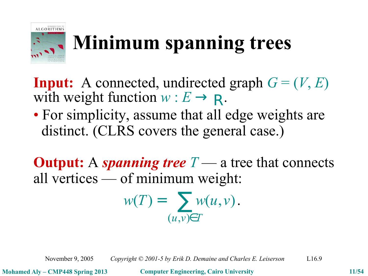

# **Minimum spanning trees**

**Input:** A connected, undirected graph  $G = (V, E)$ with weight function  $w : E \to \mathbf{R}$ .

• For simplicity, assume that all edge weights are distinct. (CLRS covers the general case.)

**Output:** A *spanning tree T* — a tree that connects all vertices — of minimum weight:

$$
w(T) = \sum_{(u,v)\in T} w(u,v).
$$

November 9, 2005 *Copyright © 2001-5 by Erik D. Demaine and Charles E. Leiserson* L16.9

**Mohamed Aly – CMP448 Spring 2013 Computer Engineering, Cairo University 11/54**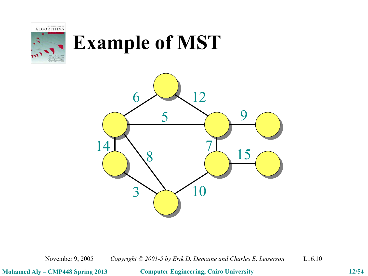

# **Example of MST**



November 9, 2005 *Copyright © 2001-5 by Erik D. Demaine and Charles E. Leiserson* L16.10

**Mohamed Aly – CMP448 Spring 2013 Computer Engineering, Cairo University 12/54**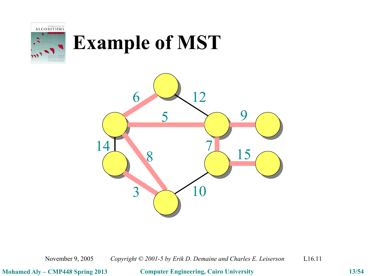

# **Example of MST**



November 9, 2005 *Copyright © 2001-5 by Erik D. Demaine and Charles E. Leiserson* L16.11

**Mohamed Aly – CMP448 Spring 2013 Computer Engineering, Cairo University 13/54**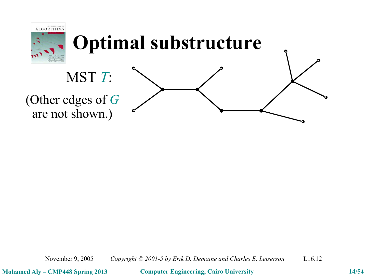

November 9, 2005 *Copyright © 2001-5 by Erik D. Demaine and Charles E. Leiserson* L16.12

**Mohamed Aly – CMP448 Spring 2013 Computer Engineering, Cairo University 14/54**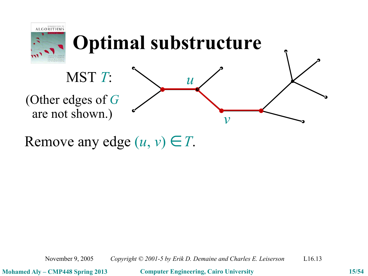

Remove any edge  $(u, v) \in T$ .

November 9, 2005 *Copyright © 2001-5 by Erik D. Demaine and Charles E. Leiserson* L16.13

**Mohamed Aly – CMP448 Spring 2013 Computer Engineering, Cairo University 15/54**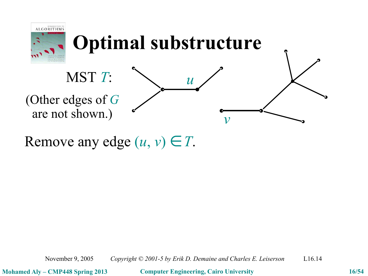

Remove any edge  $(u, v) \in T$ .

November 9, 2005 *Copyright © 2001-5 by Erik D. Demaine and Charles E. Leiserson* L16.14

**Mohamed Aly – CMP448 Spring 2013 Computer Engineering, Cairo University 16/54**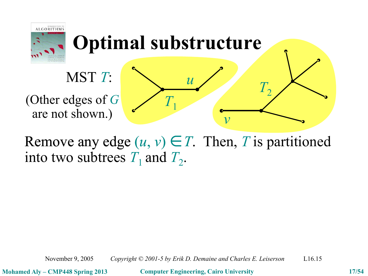

Remove any edge  $(u, v) \in T$ . Then, *T* is partitioned into two subtrees  $T_1$  and  $T_2$ .

November 9, 2005 *Copyright © 2001-5 by Erik D. Demaine and Charles E. Leiserson* L16.15

**Mohamed Aly – CMP448 Spring 2013 Computer Engineering, Cairo University 17/54**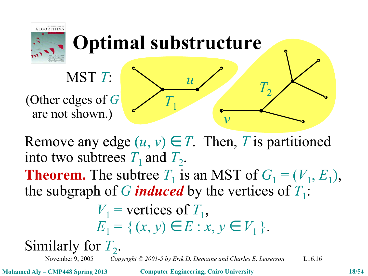



Remove any edge  $(u, v) \in T$ . Then, *T* is partitioned into two subtrees  $T_1$  and  $T_2$ .

**Theorem.** The subtree  $T_1$  is an MST of  $G_1 = (V_1, E_1)$ , the subgraph of  $G$  *induced* by the vertices of  $T_1$ :

$$
V_1 = \text{vertices of } T_1,
$$
  
\n
$$
E_1 = \{ (x, y) \in E : x, y \in V_1 \}.
$$

Similarly for  $T_2$ .

November 9, 2005 *Copyright © 2001-5 by Erik D. Demaine and Charles E. Leiserson* L16.16

**Mohamed Aly – CMP448 Spring 2013 Computer Engineering, Cairo University 18/54**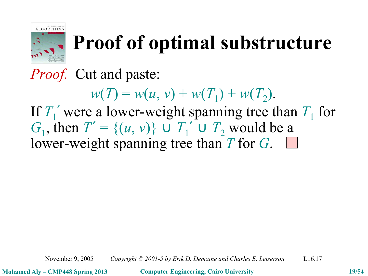

#### **Proof of optimal substructure**

*Proof.* Cut and paste:

 $w(T) = w(u, v) + w(T_1) + w(T_2).$ 

If  $T_1'$  were a lower-weight spanning tree than  $T_1$  for *G*<sub>1</sub>, then *T*<sup>′</sup> = {(*u*, *v*)} ∪ *T*<sub>1</sub><sup>′</sup> ∪ *T*<sub>2</sub> would be a lower-weight spanning tree than *T* for *G*.

November 9, 2005 *Copyright © 2001-5 by Erik D. Demaine and Charles E. Leiserson* L16.17

**Mohamed Aly – CMP448 Spring 2013 Computer Engineering, Cairo University 19/54**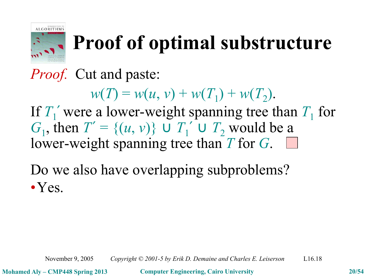

## **Proof of optimal substructure**

*Proof.* Cut and paste:

 $w(T) = w(u, v) + w(T_1) + w(T_2).$ 

If  $T_1'$  were a lower-weight spanning tree than  $T_1$  for *G*<sub>1</sub>, then *T*<sup>′</sup> = {(*u*, *v*)} ∪ *T*<sub>1</sub><sup>′</sup> ∪ *T*<sub>2</sub> would be a lower-weight spanning tree than *T* for *G*.

Do we also have overlapping subproblems? •Yes.

November 9, 2005 *Copyright © 2001-5 by Erik D. Demaine and Charles E. Leiserson* L16.18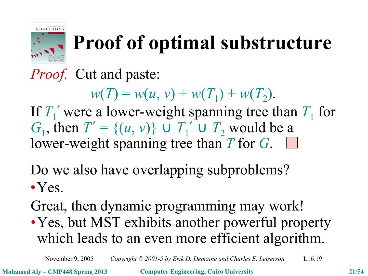

## **Proof of optimal substructure**

*Proof.* Cut and paste:

 $w(T) = w(u, v) + w(T_1) + w(T_2).$ 

If  $T_1'$  were a lower-weight spanning tree than  $T_1$  for *G*<sub>1</sub>, then *T*<sup>′</sup> = {(*u*, *v*)} ∪ *T*<sub>1</sub><sup>′</sup> ∪ *T*<sub>2</sub> would be a lower-weight spanning tree than *T* for *G*.

Do we also have overlapping subproblems?

• Yes.

Great, then dynamic programming may work! •Yes, but MST exhibits another powerful property which leads to an even more efficient algorithm.

November 9, 2005 *Copyright © 2001-5 by Erik D. Demaine and Charles E. Leiserson* L16.19

**Mohamed Aly – CMP448 Spring 2013 Computer Engineering, Cairo University 21/54**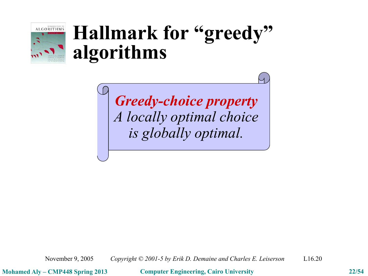

#### **Hallmark for "greedy" algorithms**

*Greedy-choice property A locally optimal choice is globally optimal.*

November 9, 2005 *Copyright © 2001-5 by Erik D. Demaine and Charles E. Leiserson* L16.20

**Mohamed Aly – CMP448 Spring 2013 Computer Engineering, Cairo University 22/54**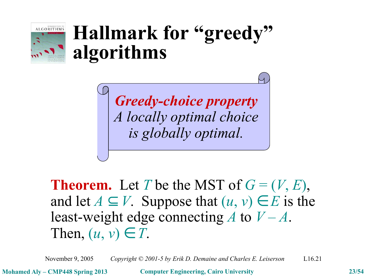

#### **Hallmark for "greedy" algorithms**

*Greedy-choice property A locally optimal choice is globally optimal.*

**Theorem.** Let *T* be the MST of  $G = (V, E)$ , and let  $A \subseteq V$ . Suppose that  $(u, v) \in E$  is the least-weight edge connecting *A* to *V* – *A*. Then,  $(u, v) \in T$ .

November 9, 2005 *Copyright © 2001-5 by Erik D. Demaine and Charles E. Leiserson* L16.21

**Mohamed Aly – CMP448 Spring 2013 Computer Engineering, Cairo University 23/54**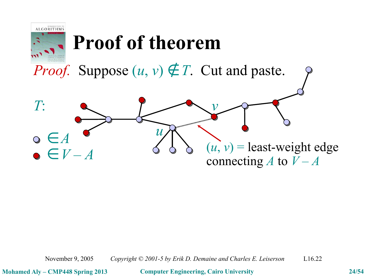



November 9, 2005 *Copyright © 2001-5 by Erik D. Demaine and Charles E. Leiserson* L16.22

**Mohamed Aly – CMP448 Spring 2013 Computer Engineering, Cairo University 24/54**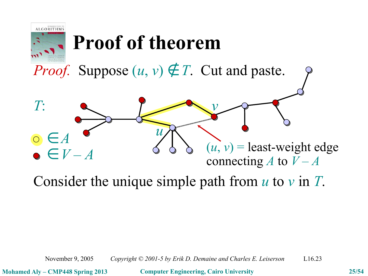

*Proof.* Suppose  $(u, v) \notin T$ . Cut and paste.



Consider the unique simple path from *u* to *v* in *T*.

November 9, 2005 *Copyright © 2001-5 by Erik D. Demaine and Charles E. Leiserson* L16.23

**Mohamed Aly – CMP448 Spring 2013 Computer Engineering, Cairo University 25/54**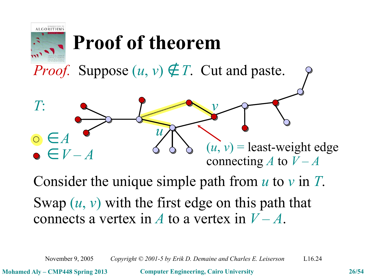

*Proof.* Suppose  $(u, v) \notin T$ . Cut and paste.



Consider the unique simple path from *u* to *v* in *T*. Swap (*u*, *v*) with the first edge on this path that connects a vertex in  $A$  to a vertex in  $V - A$ .

November 9, 2005 *Copyright © 2001-5 by Erik D. Demaine and Charles E. Leiserson* L16.24

**Mohamed Aly – CMP448 Spring 2013 Computer Engineering, Cairo University 26/54**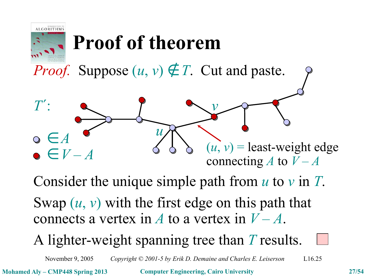

*Proof.* Suppose  $(u, v) \notin T$ . Cut and paste.



Consider the unique simple path from *u* to *v* in *T*. Swap (*u*, *v*) with the first edge on this path that connects a vertex in *A* to a vertex in  $V - A$ .

A lighter-weight spanning tree than *T* results.

November 9, 2005 *Copyright © 2001-5 by Erik D. Demaine and Charles E. Leiserson* L16.25

**Mohamed Aly – CMP448 Spring 2013 Computer Engineering, Cairo University 27/54**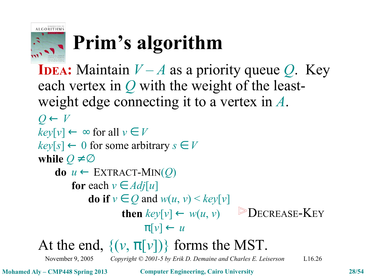

# **Prim's algorithm**

November 9, 2005 *Copyright © 2001-5 by Erik D. Demaine and Charles E. Leiserson* L16.26 **IDEA:** Maintain  $V - A$  as a priority queue *Q*. Key each vertex in *Q* with the weight of the leastweight edge connecting it to a vertex in *A*.  $Q \leftarrow V$  $key[v] \leftarrow \infty$  for all  $v \in V$  $key[s] \leftarrow 0$  for some arbitrary  $s \in V$ **while**  $Q \neq \emptyset$ **do**  $u \leftarrow \text{EXTRACT-MIN}(Q)$ **for** each  $v \in Adj[u]$ **do** if  $v \in Q$  and  $w(u, v) \leq \frac{key[v]}{v}$ **then**  $key[v] \leftarrow w(u, v)$  ► DECREASE-KEY  $\pi[\nu] \leftarrow u$ At the end,  $\{(v, \pi[v])\}$  forms the MST.

**Mohamed Aly – CMP448 Spring 2013 Computer Engineering, Cairo University 28/54**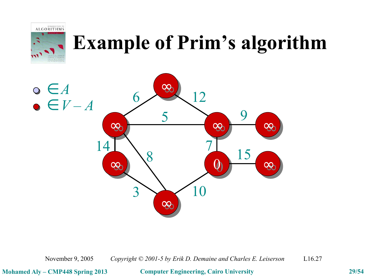



November 9, 2005 *Copyright © 2001-5 by Erik D. Demaine and Charles E. Leiserson* L16.27

**Mohamed Aly – CMP448 Spring 2013 Computer Engineering, Cairo University 29/54**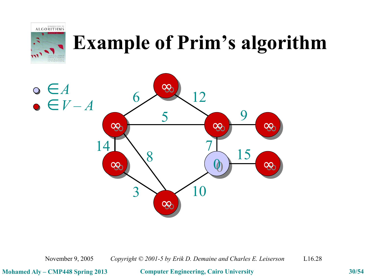



November 9, 2005 *Copyright © 2001-5 by Erik D. Demaine and Charles E. Leiserson* L16.28

**Mohamed Aly – CMP448 Spring 2013 Computer Engineering, Cairo University 30/54**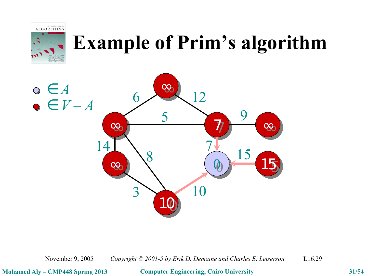



November 9, 2005 *Copyright © 2001-5 by Erik D. Demaine and Charles E. Leiserson* L16.29

**Mohamed Aly – CMP448 Spring 2013 Computer Engineering, Cairo University 31/54**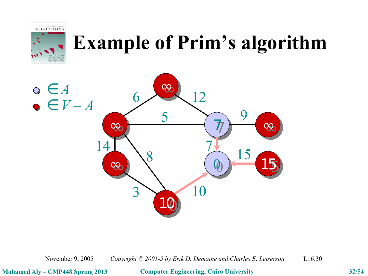



November 9, 2005 *Copyright © 2001-5 by Erik D. Demaine and Charles E. Leiserson* L16.30

**Mohamed Aly – CMP448 Spring 2013 Computer Engineering, Cairo University 32/54**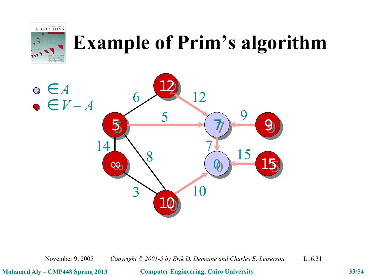



November 9, 2005 *Copyright © 2001-5 by Erik D. Demaine and Charles E. Leiserson* L16.31

**Mohamed Aly – CMP448 Spring 2013 Computer Engineering, Cairo University 33/54**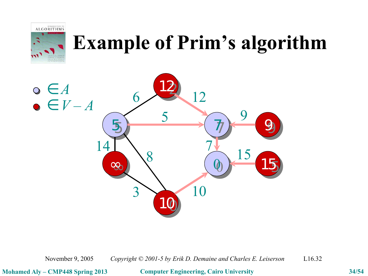



November 9, 2005 *Copyright © 2001-5 by Erik D. Demaine and Charles E. Leiserson* L16.32

**Mohamed Aly – CMP448 Spring 2013 Computer Engineering, Cairo University 34/54**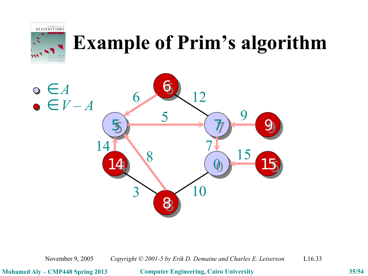



November 9, 2005 *Copyright © 2001-5 by Erik D. Demaine and Charles E. Leiserson* L16.33

**Mohamed Aly – CMP448 Spring 2013 Computer Engineering, Cairo University 35/54**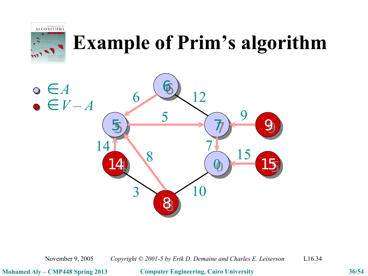



November 9, 2005 *Copyright © 2001-5 by Erik D. Demaine and Charles E. Leiserson* L16.34

**Mohamed Aly – CMP448 Spring 2013 Computer Engineering, Cairo University 36/54**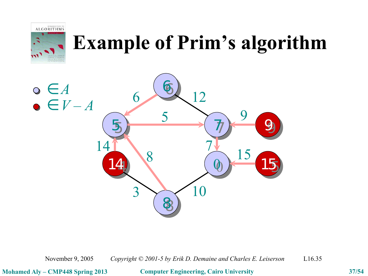



November 9, 2005 *Copyright © 2001-5 by Erik D. Demaine and Charles E. Leiserson* L16.35

**Mohamed Aly – CMP448 Spring 2013 Computer Engineering, Cairo University 37/54**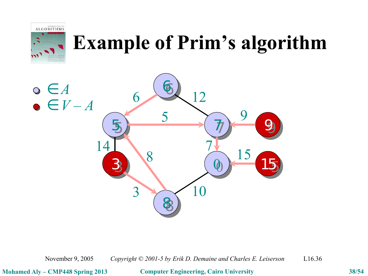



November 9, 2005 *Copyright © 2001-5 by Erik D. Demaine and Charles E. Leiserson* L16.36

**Mohamed Aly – CMP448 Spring 2013 Computer Engineering, Cairo University 38/54**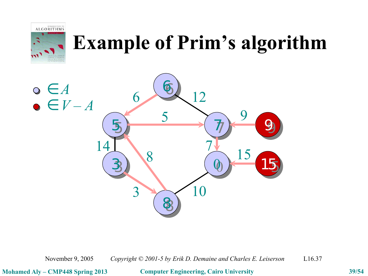



November 9, 2005 *Copyright © 2001-5 by Erik D. Demaine and Charles E. Leiserson* L16.37

**Mohamed Aly – CMP448 Spring 2013 Computer Engineering, Cairo University 39/54**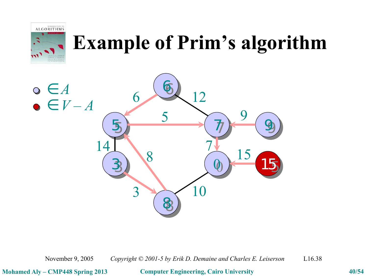



November 9, 2005 *Copyright © 2001-5 by Erik D. Demaine and Charles E. Leiserson* L16.38

**Mohamed Aly – CMP448 Spring 2013 Computer Engineering, Cairo University 40/54**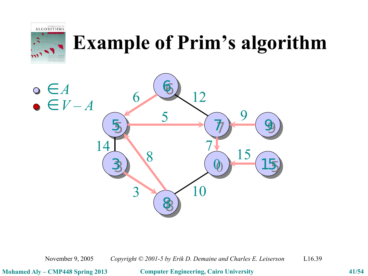



November 9, 2005 *Copyright © 2001-5 by Erik D. Demaine and Charles E. Leiserson* L16.39

**Mohamed Aly – CMP448 Spring 2013 Computer Engineering, Cairo University 41/54**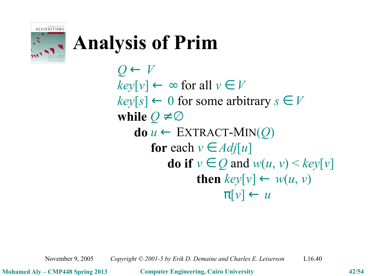

 $Q \leftarrow V$  $key[v] \leftarrow \infty$  for all  $v \in V$  $key[s] \leftarrow 0$  for some arbitrary  $s \in V$ **while**  $Q \neq \emptyset$  $\mathbf{do} \ u \leftarrow \text{EXTRACT-MIN}(\mathcal{Q})$ **for** each  $v \in Adj[u]$ **do if**  $v \in Q$  and  $w(u, v) \leq \frac{key[v]}{v}$ **then**  $key[v] \leftarrow w(u, v)$  $\pi[\nu] \leftarrow \nu$ 

November 9, 2005 *Copyright © 2001-5 by Erik D. Demaine and Charles E. Leiserson* L16.40

**Mohamed Aly – CMP448 Spring 2013 Computer Engineering, Cairo University 42/54**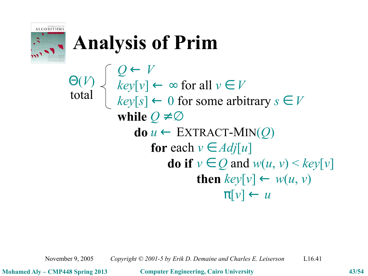

*Q* ← *V*  $key[v] \leftarrow \infty$  for all  $v \in V$  $key[s] \leftarrow 0$  for some arbitrary  $s \in V$ **while**  $Q \neq \emptyset$  $\mathbf{do} \ u \leftarrow \text{EXTRACT-MIN}(Q)$ **for** each  $v \in Adj[u]$ **do if**  $v \in Q$  and  $w(u, v) \leq \text{key}[v]$ **then**  $key[v] \leftarrow w(u, v)$  $\pi[\nu] \leftarrow u$ Θ(*V*) total

November 9, 2005 *Copyright © 2001-5 by Erik D. Demaine and Charles E. Leiserson* L16.41

**Mohamed Aly – CMP448 Spring 2013 Computer Engineering, Cairo University 43/54**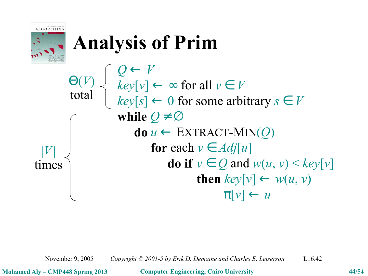

*Q* ← *V*  $key[v] \leftarrow \infty$  for all  $v \in V$  $key[s] \leftarrow 0$  for some arbitrary  $s \in V$ **while**  $Q \neq \emptyset$  $\mathbf{do} \ u \leftarrow \text{EXTRACT-MIN}(Q)$ **for** each  $v \in Adj[u]$ **do if**  $v \in Q$  and  $w(u, v) \leq \text{key}[v]$ **then**  $key[v] \leftarrow w(u, v)$  $\pi[\nu] \leftarrow u$ Θ(*V*) total  $|V|$ times

November 9, 2005 *Copyright © 2001-5 by Erik D. Demaine and Charles E. Leiserson* L16.42

**Mohamed Aly – CMP448 Spring 2013 Computer Engineering, Cairo University 44/54**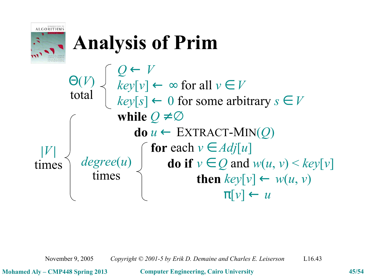

*Q* ← *V*  $key[v] \leftarrow \infty$  for all  $v \in V$  $key[s] \leftarrow 0$  for some arbitrary  $s \in V$ **while**  $Q \neq \emptyset$  $\mathbf{do} \ u \leftarrow \text{EXTRACT-MIN}(Q)$ **for** each  $v \in Adj[u]$ **do** if  $v \in Q$  and  $w(u, v) \leq key[v]$ **then**  $key[v] \leftarrow w(u, v)$  $\pi[\nu] \leftarrow u$ *degree*(*u*) times  $|V|$ times Θ(*V*) total

November 9, 2005 *Copyright © 2001-5 by Erik D. Demaine and Charles E. Leiserson* L16.43

**Mohamed Aly – CMP448 Spring 2013 Computer Engineering, Cairo University 45/54**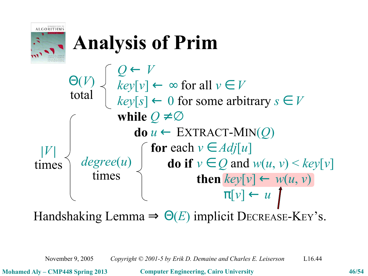

*Q* ← *V*  $key[v] \leftarrow \infty$  for all  $v \in V$  $key[s] \leftarrow 0$  for some arbitrary  $s \in V$ **while**  $Q \neq \emptyset$  $\mathbf{do} \ u \leftarrow \text{EXTRACT-MIN}(O)$ **for** each  $v \in Adj[u]$ **do** if  $v \in Q$  and  $w(u, v) \leq key[v]$  $\mathbf{then}$   $key[v] \leftarrow w(u, v)$  $\pi[\nu] \leftarrow u$ *degree*(*u*) times  $|V|$ times Θ(*V*) total

Handshaking Lemma  $\Rightarrow \Theta(E)$  implicit DECREASE-KEY's.

November 9, 2005 *Copyright © 2001-5 by Erik D. Demaine and Charles E. Leiserson* L16.44

**Mohamed Aly – CMP448 Spring 2013 Computer Engineering, Cairo University 46/54**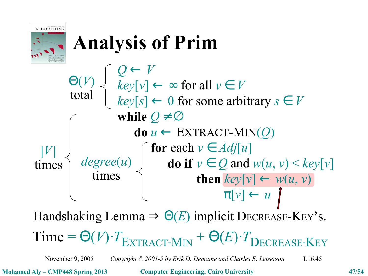

*Q* ← *V*  $key[v] \leftarrow \infty$  for all  $v \in V$  $key[s] \leftarrow 0$  for some arbitrary  $s \in V$ **while**  $Q \neq \emptyset$  $\mathbf{do} \ u \leftarrow \text{EXTRACT-MIN}(O)$ **for** each  $v \in Adj[u]$  $degree(u)$  **do** if  $v \in Q$  and  $w(u, v) \leq key[v]$ **then**  $key[v] \leftarrow w(u, v)$  $\pi[\nu] \leftarrow u$ times  $|V|$ times Θ(*V*) total

Handshaking Lemma  $\Rightarrow \Theta(E)$  implicit DECREASE-KEY's.

 $Time = \Theta(V) \cdot T_{\text{EXTRACT-MIN}} + \Theta(E) \cdot T_{\text{DECREASE-KEY}}$ 

November 9, 2005 *Copyright © 2001-5 by Erik D. Demaine and Charles E. Leiserson* L16.45

**Mohamed Aly – CMP448 Spring 2013 Computer Engineering, Cairo University 47/54**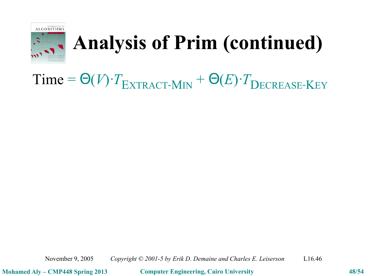

#### $Time = \Theta(V) \cdot T_{\text{EXTRACT-MIN}} + \Theta(E) \cdot T_{\text{DECREASE-KEY}}$

November 9, 2005 *Copyright © 2001-5 by Erik D. Demaine and Charles E. Leiserson* L16.46

**Mohamed Aly – CMP448 Spring 2013 Computer Engineering, Cairo University 48/54**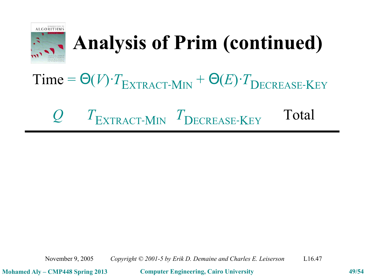

# $Time = \Theta(V) \cdot T_{\text{EXTRACT-MIN}} + \Theta(E) \cdot T_{\text{DECREASE-KEY}}$

#### *Q T* **EXTRACT-MIN** *T* **DECREASE-KEY Total**

November 9, 2005 *Copyright © 2001-5 by Erik D. Demaine and Charles E. Leiserson* L16.47

**Mohamed Aly – CMP448 Spring 2013 Computer Engineering, Cairo University 49/54**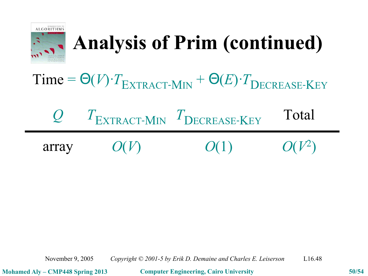

#### $Time = \Theta(V) \cdot T_{\text{EXTRACT-MIN}} + \Theta(E) \cdot T_{\text{DECREASE-KEY}}$

# *Q T* **EXTRACT-MIN** *T* **DECREASE-KEY Total**

| array | O(V) | O(1) | $O(V^2)$ |
|-------|------|------|----------|
|-------|------|------|----------|

November 9, 2005 *Copyright © 2001-5 by Erik D. Demaine and Charles E. Leiserson* L16.48

**Mohamed Aly – CMP448 Spring 2013 Computer Engineering, Cairo University 50/54**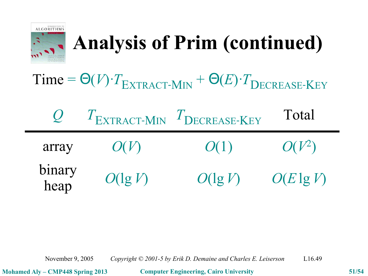

 $Time = \Theta(V) \cdot T_{\text{EXTRACT-MIN}} + \Theta(E) \cdot T_{\text{DECREASE-KEY}}$ 

| $\overline{U}$ |            | $T_{\text{EXTRACT-MIN}}$ $T_{\text{DECREASE-KEY}}$ | Total        |
|----------------|------------|----------------------------------------------------|--------------|
| array          | O(V)       | O(1)                                               | $O(V^2)$     |
| binary<br>heap | $O(\lg V)$ | $O(\lg V)$                                         | $O(E \lg V)$ |

November 9, 2005 *Copyright © 2001-5 by Erik D. Demaine and Charles E. Leiserson* L16.49

**Mohamed Aly – CMP448 Spring 2013 Computer Engineering, Cairo University 51/54**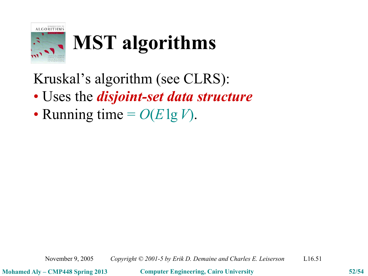

# **MST algorithms**

Kruskal's algorithm (see CLRS):

- Uses the *disjoint-set data structure*
- Running time  $= O(E \lg V)$ .

**Mohamed Aly – CMP448 Spring 2013 Computer Engineering, Cairo University 52/54**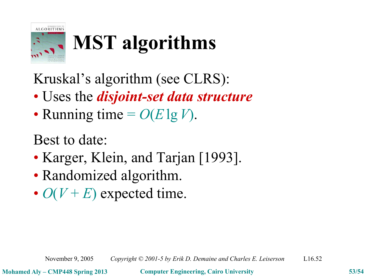

# **MST algorithms**

Kruskal's algorithm (see CLRS):

- Uses the *disjoint-set data structure*
- Running time  $= O(E \lg V)$ .

Best to date:

- Karger, Klein, and Tarjan [1993].
- Randomized algorithm.
- $O(V + E)$  expected time.

November 9, 2005 *Copyright © 2001-5 by Erik D. Demaine and Charles E. Leiserson* L16.52

**Mohamed Aly – CMP448 Spring 2013 Computer Engineering, Cairo University 53/54**